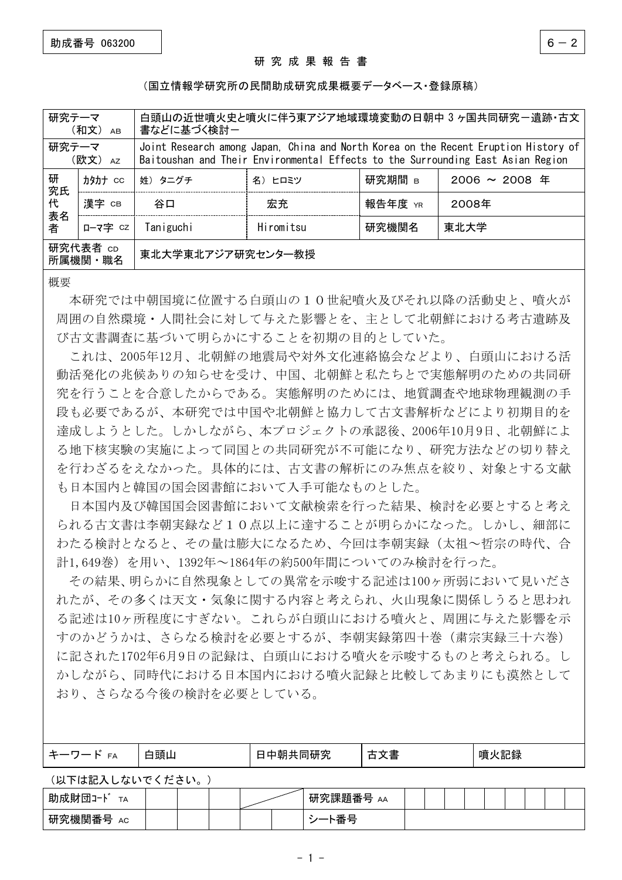## 研 究 成 果 報 告 書

## (国立情報学研究所の民間助成研究成果概要データベース・登録原稿)

| 研究テーマ                   | (和文)<br>AB | 白頭山の近世噴火史と噴火に伴う東アジア地域環境変動の日朝中 3ヶ国共同研究-遺跡・古文<br>書などに基づく検討ー                                                                                                              |            |         |                    |  |  |  |
|-------------------------|------------|------------------------------------------------------------------------------------------------------------------------------------------------------------------------|------------|---------|--------------------|--|--|--|
| 研究テーマ                   | (欧文) Az    | Joint Research among Japan, China and North Korea on the Recent Eruption History of<br>Baitoushan and Their Environmental Effects to the Surrounding East Asian Region |            |         |                    |  |  |  |
| 研<br>究氏<br>代<br>表名<br>者 | 力处力ナ CC    | 姓) タニグチ                                                                                                                                                                | 名)<br>ヒロミツ | 研究期間 в  | $2006 \sim 2008$ 年 |  |  |  |
|                         | 漢字 CB      | 谷口                                                                                                                                                                     | 宏充         | 報告年度 YR | 2008年              |  |  |  |
|                         | ローマ字 cz    | Taniguchi                                                                                                                                                              | Hiromitsu  | 研究機関名   | 東北大学               |  |  |  |
| 研究代表者 cD<br>所属機関・職名     |            | 東北大学東北アジア研究センター教授                                                                                                                                                      |            |         |                    |  |  |  |

概要

本研究では中朝国境に位置する白頭山の10世紀噴火及びそれ以降の活動史と、噴火が 周囲の自然環境・人間社会に対して与えた影響とを、主として北朝鮮における考古遺跡及 び古文書調査に基づいて明らかにすることを初期の目的としていた。

これは、2005年12月、北朝鮮の地震局や対外文化連絡協会などより、白頭山における活 動活発化の兆候ありの知らせを受け、中国、北朝鮮と私たちとで実態解明のための共同研 究を行うことを合意したからである。実態解明のためには、地質調査や地球物理観測の手 段も必要であるが、本研究では中国や北朝鮮と協力して古文書解析などにより初期目的を 達成しようとした。しかしながら、本プロジェクトの承認後、2006年10月9日、北朝鮮によ る地下核実験の実施によって同国との共同研究が不可能になり、研究方法などの切り替え を行わざるをえなかった。具体的には、古文書の解析にのみ焦点を絞り、対象とする文献 も日本国内と韓国の国会図書館において入手可能なものとした。

日本国内及び韓国国会図書館において文献検索を行った結果、検討を必要とすると考え られる古文書は李朝実録など10点以上に達することが明らかになった。しかし、細部に わたる検討となると、その量は膨大になるため、今回は李朝実録(太祖~哲宗の時代、合 計1,649巻)を用い、1392年~1864年の約500年間についてのみ検討を行った。

その結果、明らかに自然現象としての異常を示唆する記述は100ヶ所弱において見いださ れたが、その多くは天文・気象に関する内容と考えられ、火山現象に関係しうると思われ る記述は10ヶ所程度にすぎない。これらが白頭山における噴火と、周囲に与えた影響を示 すのかどうかは、さらなる検討を必要とするが、李朝実録第四十巻(粛宗実録三十六巻) に記された1702年6月9日の記録は、白頭山における噴火を示唆するものと考えられる。し かしながら、同時代における日本国内における噴火記録と比較してあまりにも漠然として おり、さらなる今後の検討を必要としている。

| $\leftarrow$ $\leftarrow$<br>FA<br>$\overline{\phantom{a}}$ | $- -$<br>后百日<br>,说自!" | `同研究. | 白乂青 | i火記録<br>噴 |
|-------------------------------------------------------------|-----------------------|-------|-----|-----------|
|                                                             |                       |       |     |           |

(以下は記入しないでください。)

| 助成財団<br><u>—п.</u><br>TA<br>$-1$<br>ي سندان<br>-23 |  |  | 究課題番<br>研<br>- 302. FT<br>_<br>AA<br>ᆖ    |  |  |  |  |  |
|----------------------------------------------------|--|--|-------------------------------------------|--|--|--|--|--|
| ுட<br>研<br>АC<br>, 悅 [关] 舍<br>丂                    |  |  | ౼<br>$\overline{\phantom{0}}$<br>囲<br>- 4 |  |  |  |  |  |

- 1 -